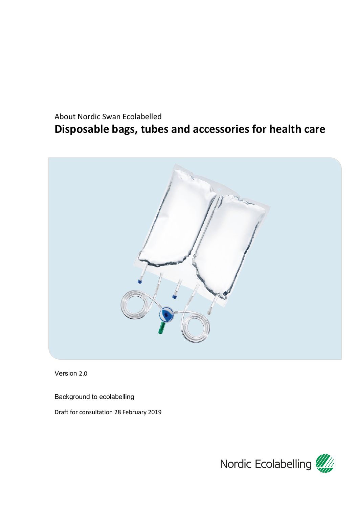# <span id="page-0-0"></span>About Nordic Swan Ecolabelled **Disposable bags, tubes and accessories for health care**



Version 2.0

Background to ecolabelling

Draft for consultation 28 February 2019

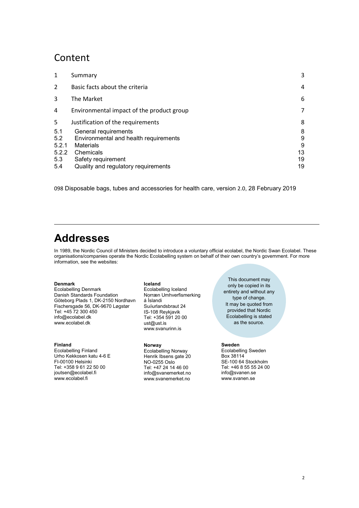## Content

| $\mathbf{1}$   | Summary                                   | 3  |
|----------------|-------------------------------------------|----|
| $\overline{2}$ | Basic facts about the criteria            | 4  |
| 3              | The Market                                | 6  |
| 4              | Environmental impact of the product group | 7  |
| 5              | Justification of the requirements         | 8  |
| 5.1            | General requirements                      | 8  |
| 5.2            | Environmental and health requirements     | 9  |
| 5.2.1          | <b>Materials</b>                          | 9  |
| 5.2.2          | Chemicals                                 | 13 |
| 5.3            | Safety requirement                        | 19 |
| 5.4            | Quality and regulatory requirements       | 19 |
|                |                                           |    |

<span id="page-1-0"></span>098 [Disposable bags, tubes and accessories for health care,](#page-0-0) version 2.0, 28 February 2019

# **Addresses**

In 1989, the Nordic Council of Ministers decided to introduce a voluntary official ecolabel, the Nordic Swan Ecolabel. These organisations/companies operate the Nordic Ecolabelling system on behalf of their own country's government. For more information, see the websites:

#### **Denmark**

Ecolabelling Denmark Danish Standards Foundation Göteborg Plads 1, DK-2150 Nordhavn Fischersgade 56, DK-9670 Løgstør Tel: +45 72 300 450 info@ecolabel.dk www.ecolabel.dk

#### **Finland**

Ecolabelling Finland Urho Kekkosen katu 4-6 E FI-00100 Helsinki Tel: +358 9 61 22 50 00 joutsen@ecolabel.fi www.ecolabel.fi

#### **Iceland**

Ecolabelling Iceland Norræn Umhverfismerking á Íslandi Suδurlandsbraut 24 IS-108 Reykjavik Tel: +354 591 20 00 ust@ust.is [www.svanurinn.is](http://www.svanurinn.is/)

#### **Norway**

Ecolabelling Norway Henrik Ibsens gate 20 NO-0255 Oslo Tel: +47 24 14 46 00 info@svanemerket.no www.svanemerket.no

<span id="page-1-1"></span>This document may only be copied in its entirety and without any type of change. It may be quoted from provided that Nordic Ecolabelling is stated as the source.

#### **Sweden**

Ecolabelling Sweden Box 38114 SE-100 64 Stockholm Tel: +46 8 55 55 24 00 info@svanen.se www.svanen.se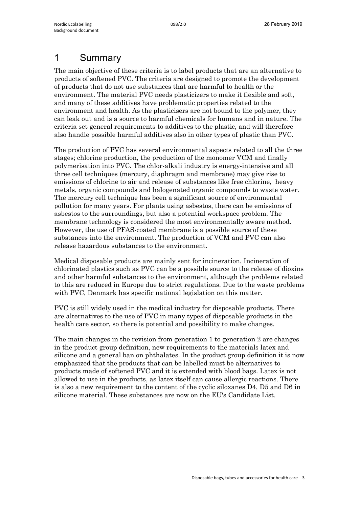## <span id="page-2-0"></span>1 Summary

The main objective of these criteria is to label products that are an alternative to products of softened PVC. The criteria are designed to promote the development of products that do not use substances that are harmful to health or the environment. The material PVC needs plasticizers to make it flexible and soft, and many of these additives have problematic properties related to the environment and health. As the plasticisers are not bound to the polymer, they can leak out and is a source to harmful chemicals for humans and in nature. The criteria set general requirements to additives to the plastic, and will therefore also handle possible harmful additives also in other types of plastic than PVC.

The production of PVC has several environmental aspects related to all the three stages; chlorine production, the production of the monomer VCM and finally polymerisation into PVC. The chlor-alkali industry is energy-intensive and all three cell techniques (mercury, diaphragm and membrane) may give rise to emissions of chlorine to air and release of substances like free chlorine, heavy metals, organic compounds and halogenated organic compounds to waste water. The mercury cell technique has been a significant source of environmental pollution for many years. For plants using asbestos, there can be emissions of asbestos to the surroundings, but also a potential workspace problem. The membrane technology is considered the most environmentally aware method. However, the use of PFAS-coated membrane is a possible source of these substances into the environment. The production of VCM and PVC can also release hazardous substances to the environment.

Medical disposable products are mainly sent for incineration. Incineration of chlorinated plastics such as PVC can be a possible source to the release of dioxins and other harmful substances to the environment, although the problems related to this are reduced in Europe due to strict regulations. Due to the waste problems with PVC, Denmark has specific national legislation on this matter.

PVC is still widely used in the medical industry for disposable products. There are alternatives to the use of PVC in many types of disposable products in the health care sector, so there is potential and possibility to make changes.

The main changes in the revision from generation 1 to generation 2 are changes in the product group definition, new requirements to the materials latex and silicone and a general ban on phthalates. In the product group definition it is now emphasized that the products that can be labelled must be alternatives to products made of softened PVC and it is extended with blood bags. Latex is not allowed to use in the products, as latex itself can cause allergic reactions. There is also a new requirement to the content of the cyclic siloxanes D4, D5 and D6 in silicone material. These substances are now on the EU's Candidate List.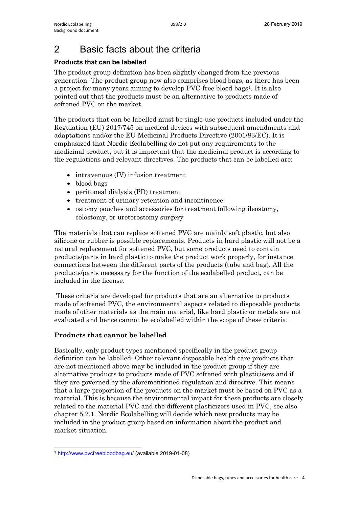# <span id="page-3-0"></span>2 Basic facts about the criteria

## **Products that can be labelled**

The product group definition has been slightly changed from the previous generation. The product group now also comprises blood bags, as there has been a project for many years aiming to develop PVC-free blood bags<sup>[1](#page-3-1)</sup>. It is also pointed out that the products must be an alternative to products made of softened PVC on the market.

The products that can be labelled must be single-use products included under the Regulation (EU) 2017/745 on medical devices with subsequent amendments and adaptations and/or the EU Medicinal Products Directive (2001/83/EC). It is emphasized that Nordic Ecolabelling do not put any requirements to the medicinal product, but it is important that the medicinal product is according to the regulations and relevant directives. The products that can be labelled are:

- intravenous (IV) infusion treatment
- blood bags
- peritoneal dialysis (PD) treatment
- treatment of urinary retention and incontinence
- ostomy pouches and accessories for treatment following ileostomy, colostomy, or ureterostomy surgery

The materials that can replace softened PVC are mainly soft plastic, but also silicone or rubber is possible replacements. Products in hard plastic will not be a natural replacement for softened PVC, but some products need to contain products/parts in hard plastic to make the product work properly, for instance connections between the different parts of the products (tube and bag). All the products/parts necessary for the function of the ecolabelled product, can be included in the license.

These criteria are developed for products that are an alternative to products made of softened PVC, the environmental aspects related to disposable products made of other materials as the main material, like hard plastic or metals are not evaluated and hence cannot be ecolabelled within the scope of these criteria.

## **Products that cannot be labelled**

Basically, only product types mentioned specifically in the product group definition can be labelled. Other relevant disposable health care products that are not mentioned above may be included in the product group if they are alternative products to products made of PVC softened with plasticisers and if they are governed by the aforementioned regulation and directive. This means that a large proportion of the products on the market must be based on PVC as a material. This is because the environmental impact for these products are closely related to the material PVC and the different plasticizers used in PVC, see also chapter 5.2.1. Nordic Ecolabelling will decide which new products may be included in the product group based on information about the product and market situation.

<span id="page-3-1"></span><sup>1</sup> <http://www.pvcfreebloodbag.eu/> (available 2019-01-08)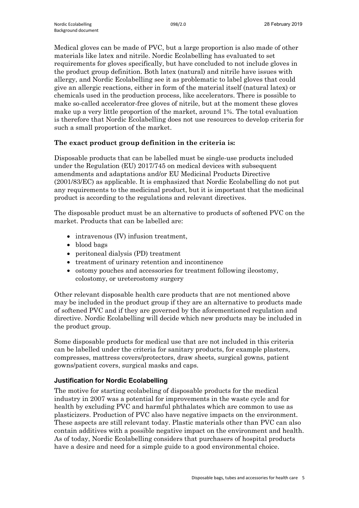Medical gloves can be made of PVC, but a large proportion is also made of other materials like latex and nitrile. Nordic Ecolabelling has evaluated to set requirements for gloves specifically, but have concluded to not include gloves in the product group definition. Both latex (natural) and nitrile have issues with allergy, and Nordic Ecolabelling see it as problematic to label gloves that could give an allergic reactions, either in form of the material itself (natural latex) or chemicals used in the production process, like accelerators. There is possible to make so-called accelerator-free gloves of nitrile, but at the moment these gloves make up a very little proportion of the market, around 1%. The total evaluation is therefore that Nordic Ecolabelling does not use resources to develop criteria for such a small proportion of the market.

## **The exact product group definition in the criteria is:**

Disposable products that can be labelled must be single-use products included under the Regulation (EU) 2017/745 on medical devices with subsequent amendments and adaptations and/or EU Medicinal Products Directive (2001/83/EC) as applicable. It is emphasized that Nordic Ecolabelling do not put any requirements to the medicinal product, but it is important that the medicinal product is according to the regulations and relevant directives.

The disposable product must be an alternative to products of softened PVC on the market. Products that can be labelled are:

- intravenous (IV) infusion treatment,
- blood bags
- peritoneal dialysis (PD) treatment
- treatment of urinary retention and incontinence
- ostomy pouches and accessories for treatment following ileostomy, colostomy, or ureterostomy surgery

Other relevant disposable health care products that are not mentioned above may be included in the product group if they are an alternative to products made of softened PVC and if they are governed by the aforementioned regulation and directive. Nordic Ecolabelling will decide which new products may be included in the product group.

Some disposable products for medical use that are not included in this criteria can be labelled under the criteria for sanitary products, for example plasters, compresses, mattress covers/protectors, draw sheets, surgical gowns, patient gowns/patient covers, surgical masks and caps.

## **Justification for Nordic Ecolabelling**

The motive for starting ecolabeling of disposable products for the medical industry in 2007 was a potential for improvements in the waste cycle and for health by excluding PVC and harmful phthalates which are common to use as plasticizers. Production of PVC also have negative impacts on the environment. These aspects are still relevant today. Plastic materials other than PVC can also contain additives with a possible negative impact on the environment and health. As of today, Nordic Ecolabelling considers that purchasers of hospital products have a desire and need for a simple guide to a good environmental choice.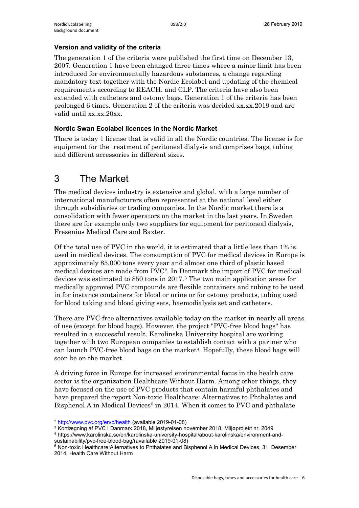## **Version and validity of the criteria**

The generation 1 of the criteria were published the first time on December 13, 2007. Generation 1 have been changed three times where a minor limit has been introduced for environmentally hazardous substances, a change regarding mandatory text together with the Nordic Ecolabel and updating of the chemical requirements according to REACH. and CLP. The criteria have also been extended with catheters and ostomy bags. Generation 1 of the criteria has been prolonged 6 times. Generation 2 of the criteria was decided xx.xx.2019 and are valid until xx.xx.20xx.

## **Nordic Swan Ecolabel licences in the Nordic Market**

There is today 1 license that is valid in all the Nordic countries. The license is for equipment for the treatment of peritoneal dialysis and comprises bags, tubing and different accessories in different sizes.

# <span id="page-5-0"></span>3 The Market

The medical devices industry is extensive and global, with a large number of international manufacturers often represented at the national level either through subsidiaries or trading companies. In the Nordic market there is a consolidation with fewer operators on the market in the last years. In Sweden there are for example only two suppliers for equipment for peritoneal dialysis, Fresenius Medical Care and Baxter.

Of the total use of PVC in the world, it is estimated that a little less than 1% is used in medical devices. The consumption of PVC for medical devices in Europe is approximately 85.000 tons every year and almost one third of plastic based medical devices are made from PVC[2.](#page-5-1) In Denmark the import of PVC for medical devices was estimated to 850 tons in 2017.[3](#page-5-2) The two main application areas for medically approved PVC compounds are flexible containers and tubing to be used in for instance containers for blood or urine or for ostomy products, tubing used for blood taking and blood giving sets, haemodialysis set and catheters.

There are PVC-free alternatives available today on the market in nearly all areas of use (except for blood bags). However, the project "PVC-free blood bags" has resulted in a successful result. Karolinska University hospital are working together with two European companies to establish contact with a partner who can launch PVC-free blood bags on the market<sup>4</sup>. Hopefully, these blood bags will soon be on the market.

A driving force in Europe for increased environmental focus in the health care sector is the organization Healthcare Without Harm. Among other things, they have focused on the use of PVC products that contain harmful phthalates and have prepared the report Non-toxic Healthcare: Alternatives to Phthalates and Bisphenol A in Medical Devices<sup>5</sup> in 2014. When it comes to PVC and phthalate

<sup>2</sup> <http://www.pvc.org/en/p/health> (available 2019-01-08)

<span id="page-5-2"></span><span id="page-5-1"></span><sup>3</sup> Kortlægning af PVC I Danmark 2018, Miljøstyrelsen november 2018, Miljøprojekt nr. 2049

<span id="page-5-3"></span><sup>4</sup> https://www.karolinska.se/en/karolinska-university-hospital/about-karolinska/environment-andsustainability/pvc-free-blood-bag/(available 2019-01-08)

<span id="page-5-4"></span><sup>5</sup> Non-toxic Healthcare:Alternatives to Phthalates and Bisphenol A in Medical Devices, 31. Desember 2014, Health Care Without Harm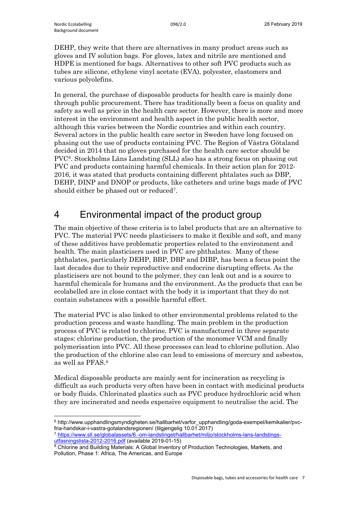DEHP, they write that there are alternatives in many product areas such as gloves and IV solution bags. For gloves, latex and nitrile are mentioned and HDPE is mentioned for bags. Alternatives to other soft PVC products such as tubes are silicone, ethylene vinyl acetate (EVA), polyester, elastomers and various polyolefins.

In general, the purchase of disposable products for health care is mainly done through public procurement. There has traditionally been a focus on quality and safety as well as price in the health care sector. However, there is more and more interest in the environment and health aspect in the public health sector, although this varies between the Nordic countries and within each country. Several actors in the public health care sector in Sweden have long focused on phasing out the use of products containing PVC. The Region of Västra Götaland decided in 2014 that no gloves purchased for the health care sector should be PVC[6.](#page-6-1) Stockholms Läns Landsting (SLL) also has a strong focus on phasing out PVC and products containing harmful chemicals. In their action plan for 2012- 2016, it was stated that products containing different phtalates such as DBP, DEHP, DINP and DNOP or products, like catheters and urine bags made of PVC should either be phased out or reduced[7](#page-6-2).

# <span id="page-6-0"></span>4 Environmental impact of the product group

The main objective of these criteria is to label products that are an alternative to PVC. The material PVC needs plasticisers to make it flexible and soft, and many of these additives have problematic properties related to the environment and health. The main plasticisers used in PVC are phthalates. Many of these phthalates, particularly DEHP, BBP, DBP and DIBP, has been a focus point the last decades due to their reproductive and endocrine disrupting effects. As the plasticisers are not bound to the polymer, they can leak out and is a source to harmful chemicals for humans and the environment. As the products that can be ecolabelled are in close contact with the body it is important that they do not contain substances with a possible harmful effect.

The material PVC is also linked to other environmental problems related to the production process and waste handling. The main problem in the production process of PVC is related to chlorine. PVC is manufactured in three separate stages: chlorine production, the production of the monomer VCM and finally polymerisation into PVC. All these processes can lead to chlorine pollution. Also the production of the chlorine also can lead to emissions of mercury and asbestos, as well as PFAS.[8](#page-6-3)

Medical disposable products are mainly sent for incineration as recycling is difficult as such products very often have been in contact with medicinal products or body fluids. Chlorinated plastics such as PVC produce hydrochloric acid when they are incinerated and needs expensive equipment to neutralise the acid. The

<span id="page-6-1"></span><sup>6</sup> http://www.upphandlingsmyndigheten.se/hallbarhet/varfor\_upphandling/goda-exempel/kemikalier/pvcfria-handskar-i-vastra-gotalandsregionen/ (tilgjengelig 10.01.2017)

<span id="page-6-2"></span><sup>7</sup> [https://www.sll.se/globalassets/6.-om-landstinget/hallbarhet/miljo/stockholms-lans-landstings](https://www.sll.se/globalassets/6.-om-landstinget/hallbarhet/miljo/stockholms-lans-landstings-utfasningslista-2012-2016.pdf)[utfasningslista-2012-2016.pdf](https://www.sll.se/globalassets/6.-om-landstinget/hallbarhet/miljo/stockholms-lans-landstings-utfasningslista-2012-2016.pdf) (available 2019-01-15)

<span id="page-6-3"></span><sup>8</sup> Chlorine and Building Materials: A Global Inventory of Production Technologies, Markets, and Pollution, Phase 1: Africa, The Americas, and Europe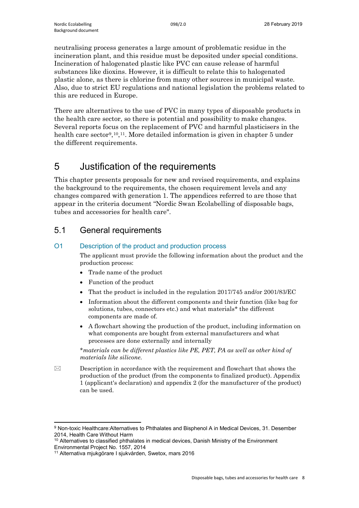neutralising process generates a large amount of problematic residue in the incineration plant, and this residue must be deposited under special conditions. Incineration of halogenated plastic like PVC can cause release of harmful substances like dioxins. However, it is difficult to relate this to halogenated plastic alone, as there is chlorine from many other sources in municipal waste. Also, due to strict EU regulations and national legislation the problems related to this are reduced in Europe.

There are alternatives to the use of PVC in many types of disposable products in the health care sector, so there is potential and possibility to make changes. Several reports focus on the replacement of PVC and harmful plasticisers in the health care sector<sup>9</sup>,<sup>10</sup>,<sup>[11](#page-7-4)</sup>. More detailed information is given in chapter 5 under the different requirements.

## <span id="page-7-0"></span>5 Justification of the requirements

This chapter presents proposals for new and revised requirements, and explains the background to the requirements, the chosen requirement levels and any changes compared with generation 1. The appendices referred to are those that appear in the criteria document "Nordic Swan Ecolabelling of disposable bags, tubes and accessories for health care".

## <span id="page-7-1"></span>5.1 General requirements

## O1 Description of the product and production process

The applicant must provide the following information about the product and the production process:

- Trade name of the product
- Function of the product
- That the product is included in the regulation 2017/745 and/or 2001/83/EC
- Information about the different components and their function (like bag for solutions, tubes, connectors etc.) and what materials\* the different components are made of.
- A flowchart showing the production of the product, including information on what components are bought from external manufacturers and what processes are done externally and internally

*\*materials can be different plastics like PE, PET, PA as well as other kind of materials like silicone.*

 $\boxtimes$  Description in accordance with the requirement and flowchart that shows the production of the product (from the components to finalized product). Appendix 1 (applicant's declaration) and appendix 2 (for the manufacturer of the product) can be used.

<span id="page-7-2"></span> $\overline{a}$ <sup>9</sup> Non-toxic Healthcare:Alternatives to Phthalates and Bisphenol A in Medical Devices, 31. Desember 2014, Health Care Without Harm

<span id="page-7-3"></span><sup>&</sup>lt;sup>10</sup> Alternatives to classified phthalates in medical devices, Danish Ministry of the Environment Environmental Project No. 1557, 2014

<span id="page-7-4"></span><sup>11</sup> Alternativa mjukgörare I sjukvården, Swetox, mars 2016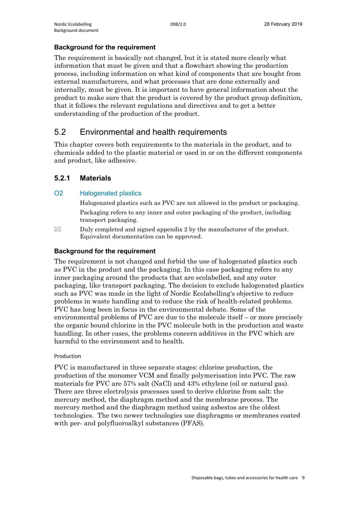### **Background for the requirement**

The requirement is basically not changed, but it is stated more clearly what information that must be given and that a flowchart showing the production process, including information on what kind of components that are bought from external manufacturers, and what processes that are done externally and internally, must be given. It is important to have general information about the product to make sure that the product is covered by the product group definition, that it follows the relevant regulations and directives and to get a better understanding of the production of the product.

## <span id="page-8-0"></span>5.2 Environmental and health requirements

This chapter covers both requirements to the materials in the product, and to chemicals added to the plastic material or used in or on the different components and product, like adhesive.

## <span id="page-8-1"></span>**5.2.1 Materials**

## O2 Halogenated plastics

Halogenated plastics such as PVC are not allowed in the product or packaging. Packaging refers to any inner and outer packaging of the product, including transport packaging.

 $\boxtimes$  Duly completed and signed appendix 2 by the manufacturer of the product. Equivalent documentation can be approved.

## **Background for the requirement**

The requirement is not changed and forbid the use of halogenated plastics such as PVC in the product and the packaging. In this case packaging refers to any inner packaging around the products that are ecolabelled, and any outer packaging, like transport packaging. The decision to exclude halogenated plastics such as PVC was made in the light of Nordic Ecolabelling's objective to reduce problems in waste handling and to reduce the risk of health-related problems. PVC has long been in focus in the environmental debate. Some of the environmental problems of PVC are due to the molecule itself – or more precisely the organic bound chlorine in the PVC molecule both in the production and waste handling. In other cases, the problems concern additives in the PVC which are harmful to the environment and to health.

### Production

PVC is manufactured in three separate stages: chlorine production, the production of the monomer VCM and finally polymerisation into PVC. The raw materials for PVC are 57% salt (NaCl) and 43% ethylene (oil or natural gas). There are three electrolysis processes used to derive chlorine from salt: the mercury method, the diaphragm method and the membrane process. The mercury method and the diaphragm method using asbestos are the oldest technologies. The two newer technologies use diaphragms or membranes coated with per- and polyfluoroalkyl substances (PFAS).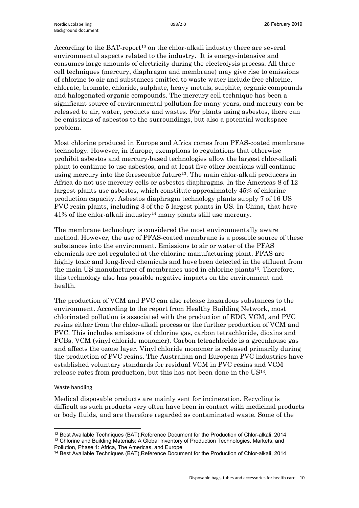According to the BAT-report<sup>[12](#page-9-0)</sup> on the chlor-alkali industry there are several environmental aspects related to the industry. It is energy-intensive and consumes large amounts of electricity during the electrolysis process. All three cell techniques (mercury, diaphragm and membrane) may give rise to emissions of chlorine to air and substances emitted to waste water include free chlorine, chlorate, bromate, chloride, sulphate, heavy metals, sulphite, organic compounds and halogenated organic compounds. The mercury cell technique has been a significant source of environmental pollution for many years, and mercury can be released to air, water, products and wastes. For plants using asbestos, there can be emissions of asbestos to the surroundings, but also a potential workspace problem.

Most chlorine produced in Europe and Africa comes from PFAS-coated membrane technology. However, in Europe, exemptions to regulations that otherwise prohibit asbestos and mercury-based technologies allow the largest chlor-alkali plant to continue to use asbestos, and at least five other locations will continue using mercury into the foreseeable future<sup>13</sup>. The main chlor-alkali producers in Africa do not use mercury cells or asbestos diaphragms. In the Americas 8 of 12 largest plants use asbestos, which constitute approximately 45% of chlorine production capacity. Asbestos diaphragm technology plants supply 7 of 16 US PVC resin plants, including 3 of the 5 largest plants in US. In China, that have 41% of the chlor-alkali industry[14](#page-9-2) many plants still use mercury.

The membrane technology is considered the most environmentally aware method. However, the use of PFAS-coated membrane is a possible source of these substances into the environment. Emissions to air or water of the PFAS chemicals are not regulated at the chlorine manufacturing plant. PFAS are highly toxic and long-lived chemicals and have been detected in the effluent from the main US manufacturer of membranes used in chlorine plants13. Therefore, this technology also has possible negative impacts on the environment and health.

The production of VCM and PVC can also release hazardous substances to the environment. According to the report from Healthy Building Network, most chlorinated pollution is associated with the production of EDC, VCM, and PVC resins either from the chlor-alkali process or the further production of VCM and PVC. This includes emissions of chlorine gas, carbon tetrachloride, dioxins and PCBs, VCM (vinyl chloride monomer). Carbon tetrachloride is a greenhouse gas and affects the ozone layer. Vinyl chloride monomer is released primarily during the production of PVC resins. The Australian and European PVC industries have established voluntary standards for residual VCM in PVC resins and VCM release rates from production, but this has not been done in the US13.

### Waste handling

Medical disposable products are mainly sent for incineration. Recycling is difficult as such products very often have been in contact with medicinal products or body fluids, and are therefore regarded as contaminated waste. Some of the

<span id="page-9-0"></span><sup>12</sup> Best Available Techniques (BAT), Reference Document for the Production of Chlor-alkali, 2014 <sup>13</sup> Chlorine and Building Materials: A Global Inventory of Production Technologies, Markets, and Pollution, Phase 1: Africa, The Americas, and Europe

<span id="page-9-2"></span><span id="page-9-1"></span><sup>14</sup> Best Available Techniques (BAT),Reference Document for the Production of Chlor-alkali, 2014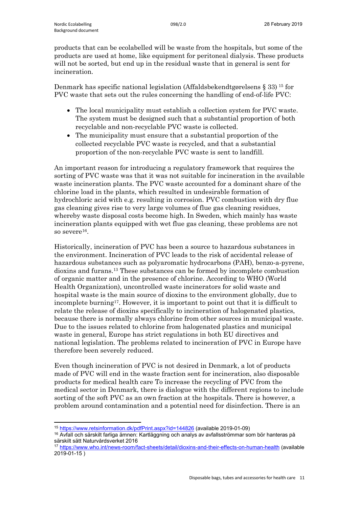products that can be ecolabelled will be waste from the hospitals, but some of the products are used at home, like equipment for peritoneal dialysis. These products will not be sorted, but end up in the residual waste that in general is sent for incineration.

Denmark has specific national legislation (Affaldsbekendtgørelsens § 33)  $^{15}$  $^{15}$  $^{15}$  for PVC waste that sets out the rules concerning the handling of end-of-life PVC:

- The local municipality must establish a collection system for PVC waste. The system must be designed such that a substantial proportion of both recyclable and non-recyclable PVC waste is collected.
- The municipality must ensure that a substantial proportion of the collected recyclable PVC waste is recycled, and that a substantial proportion of the non-recyclable PVC waste is sent to landfill.

An important reason for introducing a regulatory framework that requires the sorting of PVC waste was that it was not suitable for incineration in the available waste incineration plants. The PVC waste accounted for a dominant share of the chlorine load in the plants, which resulted in undesirable formation of hydrochloric acid with e.g. resulting in corrosion. PVC combustion with dry flue gas cleaning gives rise to very large volumes of flue gas cleaning residues, whereby waste disposal costs become high. In Sweden, which mainly has waste incineration plants equipped with wet flue gas cleaning, these problems are not so severe<sup>16</sup>.

Historically, incineration of PVC has been a source to hazardous substances in the environment. Incineration of PVC leads to the risk of accidental release of hazardous substances such as polyaromatic hydrocarbons (PAH), benzo-a-pyrene, dioxins and furans.13 These substances can be formed by incomplete combustion of organic matter and in the presence of chlorine. According to WHO (World Health Organization), uncontrolled waste incinerators for solid waste and hospital waste is the main source of dioxins to the environment globally, due to incomplete burning<sup>17</sup>. However, it is important to point out that it is difficult to relate the release of dioxins specifically to incineration of halogenated plastics, because there is normally always chlorine from other sources in municipal waste. Due to the issues related to chlorine from halogenated plastics and municipal waste in general, Europe has strict regulations in both EU directives and national legislation. The problems related to incineration of PVC in Europe have therefore been severely reduced.

Even though incineration of PVC is not desired in Denmark, a lot of products made of PVC will end in the waste fraction sent for incineration, also disposable products for medical health care To increase the recycling of PVC from the medical sector in Denmark, there is dialogue with the different regions to include sorting of the soft PVC as an own fraction at the hospitals. There is however, a problem around contamination and a potential need for disinfection. There is an

 $\overline{a}$ <sup>15</sup> <https://www.retsinformation.dk/pdfPrint.aspx?id=144826> (available 2019-01-09)

<span id="page-10-1"></span><span id="page-10-0"></span><sup>&</sup>lt;sup>16</sup> Avfall och särskilt farliga ämnen: Kartläggning och analys av avfallsströmmar som bör hanteras på särskilt sätt Naturvårdsverket 2016

<span id="page-10-2"></span><sup>17</sup> <https://www.who.int/news-room/fact-sheets/detail/dioxins-and-their-effects-on-human-health> (available 2019-01-15 )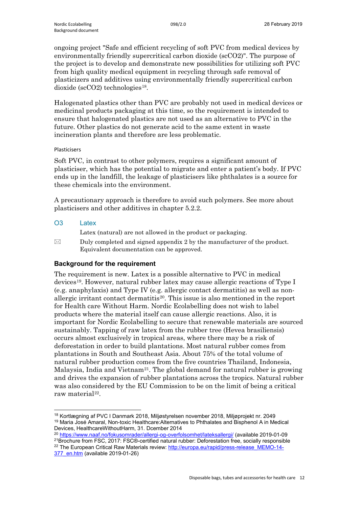ongoing project "Safe and efficient recycling of soft PVC from medical devices by environmentally friendly supercritical carbon dioxide (scCO2)". The purpose of the project is to develop and demonstrate new possibilities for utilizing soft PVC from high quality medical equipment in recycling through safe removal of plasticizers and additives using environmentally friendly supercritical carbon dioxide ( $\rm scCO2$ ) technologies<sup>[18](#page-11-0)</sup>.

Halogenated plastics other than PVC are probably not used in medical devices or medicinal products packaging at this time, so the requirement is intended to ensure that halogenated plastics are not used as an alternative to PVC in the future. Other plastics do not generate acid to the same extent in waste incineration plants and therefore are less problematic.

## Plasticisers

Soft PVC, in contrast to other polymers, requires a significant amount of plasticiser, which has the potential to migrate and enter a patient's body. If PVC ends up in the landfill, the leakage of plasticisers like phthalates is a source for these chemicals into the environment.

A precautionary approach is therefore to avoid such polymers. See more about plasticisers and other additives in chapter 5.2.2.

## O3 Latex

Latex (natural) are not allowed in the product or packaging.

 $\boxtimes$  Duly completed and signed appendix 2 by the manufacturer of the product. Equivalent documentation can be approved.

## **Background for the requirement**

The requirement is new. Latex is a possible alternative to PVC in medical devices[19.](#page-11-1) However, natural rubber latex may cause allergic reactions of Type I (e.g. anaphylaxis) and Type IV (e.g. allergic contact dermatitis) as well as nonallergic irritant contact dermatitis<sup>20</sup>. This issue is also mentioned in the report for Health care Without Harm. Nordic Ecolabelling does not wish to label products where the material itself can cause allergic reactions. Also, it is important for Nordic Ecolabelling to secure that renewable materials are sourced sustainably. Tapping of raw latex from the rubber tree (Hevea brasiliensis) occurs almost exclusively in tropical areas, where there may be a risk of deforestation in order to build plantations. Most natural rubber comes from plantations in South and Southeast Asia. About 75% of the total volume of natural rubber production comes from the five countries Thailand, Indonesia, Malaysia, India and Vietnam<sup>21</sup>. The global demand for natural rubber is growing and drives the expansion of rubber plantations across the tropics. Natural rubber was also considered by the EU Commission to be on the limit of being a critical raw material<sup>[22](#page-11-4)</sup>.

<span id="page-11-1"></span><span id="page-11-0"></span><sup>18</sup> Kortlægning af PVC I Danmark 2018, Miljøstyrelsen november 2018, Miljøprojekt nr. 2049 <sup>19</sup> Maria José Amaral, Non-toxic Healthcare:Alternatives to Phthalates and Bisphenol A in Medical Devices, HealthcareWithoutHarm, 31. Dcember 2014

<span id="page-11-2"></span><sup>20</sup> <https://www.naaf.no/fokusomrader/allergi-og-overfolsomhet/lateksallergi/> (available 2019-01-09 21Brochure from FSC, 2017: FSC®-certified natural rubber: Deforestation free, socially responsible

<span id="page-11-4"></span><span id="page-11-3"></span><sup>&</sup>lt;sup>22</sup> The European Critical Raw Materials review: [http://europa.eu/rapid/press-release\\_MEMO-14-](http://europa.eu/rapid/press-release_MEMO-14-377_en.htm) [377\\_en.htm](http://europa.eu/rapid/press-release_MEMO-14-377_en.htm) (available 2019-01-26)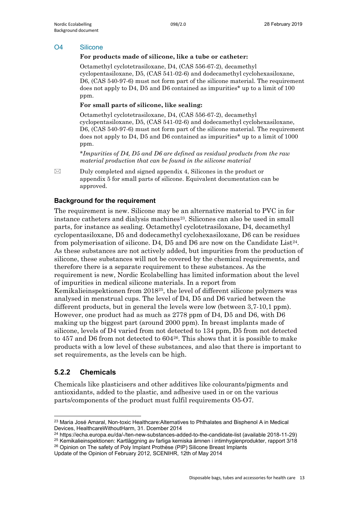#### O4 Silicone

#### **For products made of silicone, like a tube or catheter:**

Octamethyl cyclotetrasiloxane, D4, (CAS 556-67-2), decamethyl cyclopentasiloxane, D5, (CAS 541-02-6) and dodecamethyl cyclohexasiloxane, D6, (CAS 540-97-6) must not form part of the silicone material. The requirement does not apply to D4, D5 and D6 contained as impurities\* up to a limit of 100 ppm.

#### **For small parts of silicone, like sealing:**

Octamethyl cyclotetrasiloxane, D4, (CAS 556-67-2), decamethyl cyclopentasiloxane, D5, (CAS 541-02-6) and dodecamethyl cyclohexasiloxane, D6, (CAS 540-97-6) must not form part of the silicone material. The requirement does not apply to D4, D5 and D6 contained as impurities\* up to a limit of 1000 ppm.

*\*Impurities of D4, D5 and D6 are defined as residual products from the raw material production that can be found in the silicone material*

 $\boxtimes$  Duly completed and signed appendix 4, Silicones in the product or appendix 5 for small parts of silicone. Equivalent documentation can be approved.

### **Background for the requirement**

The requirement is new. Silicone may be an alternative material to PVC in for instance catheters and dialysis machines<sup>23</sup>. Silicones can also be used in small parts, for instance as sealing. Octamethyl cyclotetrasiloxane, D4, decamethyl cyclopentasiloxane, D5 and dodecamethyl cyclohexasiloxane, D6 can be residues from polymerisation of silicone. D4, D5 and D6 are now on the Candidate Lis[t24](#page-12-2). As these substances are not actively added, but impurities from the production of silicone, these substances will not be covered by the chemical requirements, and therefore there is a separate requirement to these substances. As the requirement is new, Nordic Ecolabelling has limited information about the level of impurities in medical silicone materials. In a report from Kemikalieinspektionen from 2018[25,](#page-12-3) the level of different silicone polymers was analysed in menstrual cups. The level of D4, D5 and D6 varied between the different products, but in general the levels were low (between 3,7-10,1 ppm). However, one product had as much as 2778 ppm of D4, D5 and D6, with D6 making up the biggest part (around 2000 ppm). In breast implants made of silicone, levels of D4 varied from not detected to 134 ppm, D5 from not detected to 457 and D6 from not detected to 604[26](#page-12-4). This shows that it is possible to make products with a low level of these substances, and also that there is important to set requirements, as the levels can be high.

## <span id="page-12-0"></span>**5.2.2 Chemicals**

Chemicals like plasticisers and other additives like colourants/pigments and antioxidants, added to the plastic, and adhesive used in or on the various parts/components of the product must fulfil requirements O5-O7.

<span id="page-12-1"></span><sup>23</sup> Maria José Amaral, Non-toxic Healthcare: Alternatives to Phthalates and Bisphenol A in Medical Devices, HealthcareWithoutHarm, 31. Dcember 2014

<span id="page-12-2"></span><sup>24</sup> https://echa.europa.eu/da/-/ten-new-substances-added-to-the-candidate-list (available 2018-11-29)

<span id="page-12-3"></span><sup>25</sup> Kemikalieinspektionen: Kartläggning av farliga kemiska ämnen i intimhygienprodukter, rapport 3/18 <sup>26</sup> Opinion on The safety of Poly Implant Prothèse (PIP) Silicone Breast Implants

<span id="page-12-4"></span>Update of the Opinion of February 2012, SCENIHR, 12th of May 2014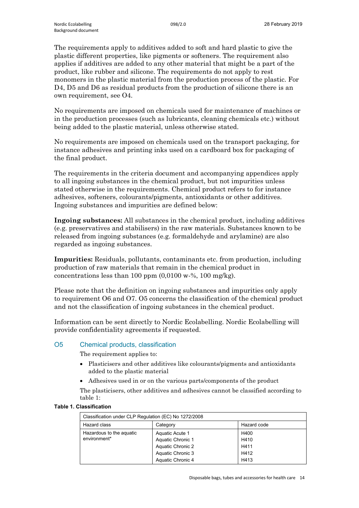The requirements apply to additives added to soft and hard plastic to give the plastic different properties, like pigments or softeners. The requirement also applies if additives are added to any other material that might be a part of the product, like rubber and silicone. The requirements do not apply to rest monomers in the plastic material from the production process of the plastic. For D4, D5 and D6 as residual products from the production of silicone there is an own requirement, see O4.

No requirements are imposed on chemicals used for maintenance of machines or in the production processes (such as lubricants, cleaning chemicals etc.) without being added to the plastic material, unless otherwise stated.

No requirements are imposed on chemicals used on the transport packaging, for instance adhesives and printing inks used on a cardboard box for packaging of the final product.

The requirements in the criteria document and accompanying appendices apply to all ingoing substances in the chemical product, but not impurities unless stated otherwise in the requirements. Chemical product refers to for instance adhesives, softeners, colourants/pigments, antioxidants or other additives. Ingoing substances and impurities are defined below:

**Ingoing substances:** All substances in the chemical product, including additives (e.g. preservatives and stabilisers) in the raw materials. Substances known to be released from ingoing substances (e.g. formaldehyde and arylamine) are also regarded as ingoing substances.

**Impurities:** Residuals, pollutants, contaminants etc. from production, including production of raw materials that remain in the chemical product in concentrations less than 100 ppm  $(0.0100 \text{ w} \cdot \%)$ , 100 mg/kg).

Please note that the definition on ingoing substances and impurities only apply to requirement O6 and O7. O5 concerns the classification of the chemical product and not the classification of ingoing substances in the chemical product.

Information can be sent directly to Nordic Ecolabelling. Nordic Ecolabelling will provide confidentiality agreements if requested.

### O5 Chemical products, classification

The requirement applies to:

- Plasticisers and other additives like colourants/pigments and antioxidants added to the plastic material
- Adhesives used in or on the various parts/components of the product

The plasticisers, other additives and adhesives cannot be classified according to table 1:

#### **Table 1. Classification**

| Classification under CLP Regulation (EC) No 1272/2008 |                                                                                |                              |  |  |  |
|-------------------------------------------------------|--------------------------------------------------------------------------------|------------------------------|--|--|--|
| Hazard class                                          | Category                                                                       | Hazard code                  |  |  |  |
| Hazardous to the aquatic<br>environment*              | Aquatic Acute 1<br>Aquatic Chronic 1<br>Aquatic Chronic 2<br>Aquatic Chronic 3 | H400<br>H410<br>H411<br>H412 |  |  |  |
|                                                       | Aquatic Chronic 4                                                              | H413                         |  |  |  |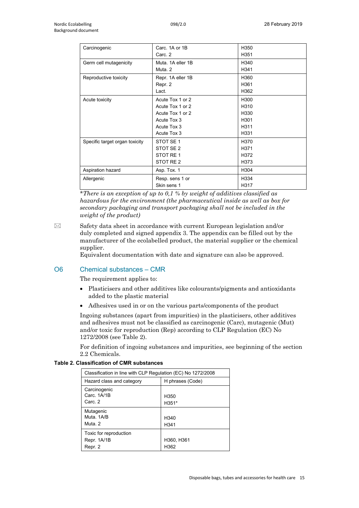| Carcinogenic                   | Carc. 1A or 1B    | H350             |
|--------------------------------|-------------------|------------------|
|                                | Carc. 2           | H351             |
| Germ cell mutagenicity         | Muta, 1A eller 1B | H340             |
|                                | Muta, 2           | H341             |
| Reproductive toxicity          | Repr. 1A eller 1B | H360             |
|                                | Repr. 2           | H361             |
|                                | Lact.             | H362             |
| Acute toxicity                 | Acute Tox 1 or 2  | H300             |
|                                | Acute Tox 1 or 2  | H <sub>310</sub> |
|                                | Acute Tox 1 or 2  | H330             |
|                                | Acute Tox 3       | H301             |
|                                | Acute Tox 3       | H <sub>311</sub> |
|                                | Acute Tox 3       | H331             |
| Specific target organ toxicity | STOT SE 1         | H370             |
|                                | STOT SE 2         | H371             |
|                                | STOT RE 1         | H372             |
|                                | STOT RE 2         | H373             |
| Aspiration hazard              | Asp. Tox. 1       | H304             |
| Allergenic                     | Resp. sens 1 or   | H334             |
|                                | Skin sens 1       | H317             |

*\*There is an exception of up to 0,1 % by weight of additives classified as hazardous for the environment (the pharmaceutical inside as well as box for secondary packaging and transport packaging shall not be included in the weight of the product)*

 $\boxtimes$  Safety data sheet in accordance with current European legislation and/or duly completed and signed appendix 3. The appendix can be filled out by the manufacturer of the ecolabelled product, the material supplier or the chemical supplier.

Equivalent documentation with date and signature can also be approved.

### O6 Chemical substances – CMR

The requirement applies to:

- Plasticisers and other additives like colourants/pigments and antioxidants added to the plastic material
- Adhesives used in or on the various parts/components of the product

Ingoing substances (apart from impurities) in the plasticisers, other additives and adhesives must not be classified as carcinogenic (Carc), mutagenic (Mut) and/or toxic for reproduction (Rep) according to CLP Regulation (EC) No 1272/2008 (see Table 2).

For definition of ingoing substances and impurities, see beginning of the section 2.2 Chemicals.

|  | Table 2. Classification of CMR substances |  |  |
|--|-------------------------------------------|--|--|
|--|-------------------------------------------|--|--|

| Classification in line with CLP Regulation (EC) No 1272/2008 |                          |  |  |  |
|--------------------------------------------------------------|--------------------------|--|--|--|
| Hazard class and category                                    | H phrases (Code)         |  |  |  |
| Carcinogenic<br>Carc. 1A/1B<br>Carc 2                        | H350<br>H351*            |  |  |  |
| Mutagenic<br>Muta, 1A/B<br>Muta, 2                           | H <sub>340</sub><br>H341 |  |  |  |
| Toxic for reproduction<br>Repr. 1A/1B<br>Repr. 2             | H360, H361<br>H362       |  |  |  |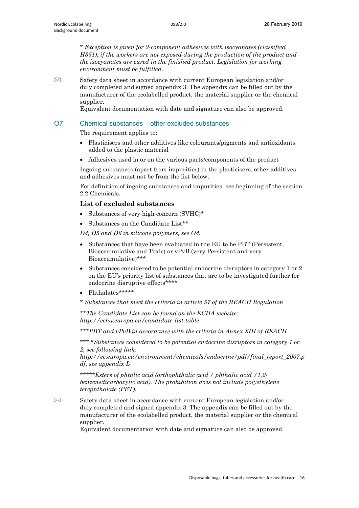*\* Exception is given for 2-component adhesives with isocyanates (classified H351), if the workers are not exposed during the production of the product and the isocyanates are cured in the finished product. Legislation for working environment must be fulfilled.*

 $\boxtimes$  Safety data sheet in accordance with current European legislation and/or duly completed and signed appendix 3. The appendix can be filled out by the manufacturer of the ecolabelled product, the material supplier or the chemical supplier.

Equivalent documentation with date and signature can also be approved.

#### O7 Chemical substances – other excluded substances

The requirement applies to:

- Plasticisers and other additives like colourants/pigments and antioxidants added to the plastic material
- Adhesives used in or on the various parts/components of the product

Ingoing substances (apart from impurities) in the plasticisers, other additives and adhesives must not be from the list below.

For definition of ingoing substances and impurities, see beginning of the section 2.2 Chemicals.

#### **List of excluded substances**

- Substances of very high concern (SVHC)\*
- Substances on the Candidate List\*\*

*D4, D5 and D6 in silicone polymers, see O4.* 

- Substances that have been evaluated in the EU to be PBT (Persistent, Bioaccumulative and Toxic) or vPvB (very Persistent and very Bioaccumulative)\*\*\*
- Substances considered to be potential endocrine disruptors in category 1 or 2 on the EU's priority list of substances that are to be investigated further for endocrine disruptive effects\*\*\*\*
- Phthalates\*\*\*\*\*
- *\* Substances that meet the criteria in article 57 of the REACH Regulation*

*\*\*The Candidate List can be found on the ECHA website: http://echa.europa.eu/candidate-list-table* 

*\*\*\*PBT and vPvB in accordance with the criteria in Annex XIII of REACH* 

*\*\*\* \*Substances considered to be potential endocrine disruptors in category 1 or 2, see following link:* 

*http://ec.europa.eu/environment/chemicals/endocrine/pdf/final\_report\_2007.p df, see appendix L*

*\*\*\*\*\*Esters of phtalic acid (orthophthalic acid / phthalic acid /1,2 benzenedicarboxylic acid). The prohibition does not include polyethylene terephthalate (PET).*

 $\boxtimes$  Safety data sheet in accordance with current European legislation and/or duly completed and signed appendix 3. The appendix can be filled out by the manufacturer of the ecolabelled product, the material supplier or the chemical supplier.

Equivalent documentation with date and signature can also be approved.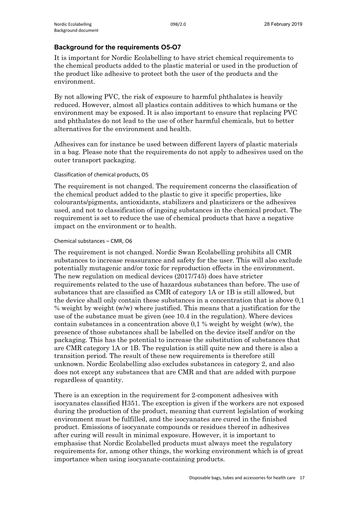### **Background for the requirements O5-O7**

It is important for Nordic Ecolabelling to have strict chemical requirements to the chemical products added to the plastic material or used in the production of the product like adhesive to protect both the user of the products and the environment.

By not allowing PVC, the risk of exposure to harmful phthalates is heavily reduced. However, almost all plastics contain additives to which humans or the environment may be exposed. It is also important to ensure that replacing PVC and phthalates do not lead to the use of other harmful chemicals, but to better alternatives for the environment and health.

Adhesives can for instance be used between different layers of plastic materials in a bag. Please note that the requirements do not apply to adhesives used on the outer transport packaging.

#### Classification of chemical products, O5

The requirement is not changed. The requirement concerns the classification of the chemical product added to the plastic to give it specific properties, like colourants/pigments, antioxidants, stabilizers and plasticizers or the adhesives used, and not to classification of ingoing substances in the chemical product. The requirement is set to reduce the use of chemical products that have a negative impact on the environment or to health.

#### Chemical substances – CMR, O6

The requirement is not changed. Nordic Swan Ecolabelling prohibits all CMR substances to increase reassurance and safety for the user. This will also exclude potentially mutagenic and/or toxic for reproduction effects in the environment. The new regulation on medical devices (2017/745) does have stricter requirements related to the use of hazardous substances than before. The use of substances that are classified as CMR of category 1A or 1B is still allowed, but the device shall only contain these substances in a concentration that is above 0,1 % weight by weight (w/w) where justified. This means that a justification for the use of the substance must be given (see 10.4 in the regulation). Where devices contain substances in a concentration above 0,1 % weight by weight (w/w), the presence of those substances shall be labelled on the device itself and/or on the packaging. This has the potential to increase the substitution of substances that are CMR category 1A or 1B. The regulation is still quite new and there is also a transition period. The result of these new requirements is therefore still unknown. Nordic Ecolabelling also excludes substances in category 2, and also does not except any substances that are CMR and that are added with purpose regardless of quantity.

There is an exception in the requirement for 2-component adhesives with isocyanates classified H351. The exception is given if the workers are not exposed during the production of the product, meaning that current legislation of working environment must be fulfilled, and the isocyanates are cured in the finished product. Emissions of isocyanate compounds or residues thereof in adhesives after curing will result in minimal exposure. However, it is important to emphasise that Nordic Ecolabelled products must always meet the regulatory requirements for, among other things, the working environment which is of great importance when using isocyanate-containing products.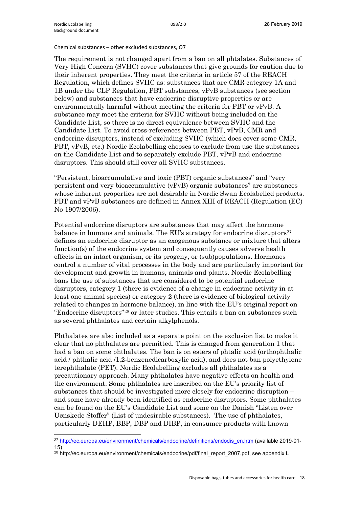$\overline{a}$ 

Chemical substances – other excluded substances, O7

The requirement is not changed apart from a ban on all phtalates. Substances of Very High Concern (SVHC) cover substances that give grounds for caution due to their inherent properties. They meet the criteria in article 57 of the REACH Regulation, which defines SVHC as: substances that are CMR category 1A and 1B under the CLP Regulation, PBT substances, vPvB substances (see section below) and substances that have endocrine disruptive properties or are environmentally harmful without meeting the criteria for PBT or vPvB. A substance may meet the criteria for SVHC without being included on the Candidate List, so there is no direct equivalence between SVHC and the Candidate List. To avoid cross-references between PBT, vPvB, CMR and endocrine disruptors, instead of excluding SVHC (which does cover some CMR, PBT, vPvB, etc.) Nordic Ecolabelling chooses to exclude from use the substances on the Candidate List and to separately exclude PBT, vPvB and endocrine disruptors. This should still cover all SVHC substances.

"Persistent, bioaccumulative and toxic (PBT) organic substances" and "very persistent and very bioaccumulative (vPvB) organic substances" are substances whose inherent properties are not desirable in Nordic Swan Ecolabelled products. PBT and vPvB substances are defined in Annex XIII of REACH (Regulation (EC) No 1907/2006).

Potential endocrine disruptors are substances that may affect the hormone balance in humans and animals. The EU's strategy for endocrine disruptors $27$ defines an endocrine disruptor as an exogenous substance or mixture that alters function(s) of the endocrine system and consequently causes adverse health effects in an intact organism, or its progeny, or (sub)populations. Hormones control a number of vital processes in the body and are particularly important for development and growth in humans, animals and plants. Nordic Ecolabelling bans the use of substances that are considered to be potential endocrine disruptors, category 1 (there is evidence of a change in endocrine activity in at least one animal species) or category 2 (there is evidence of biological activity related to changes in hormone balance), in line with the EU's original report on "Endocrine disruptors"[28](#page-17-1) or later studies. This entails a ban on substances such as several phthalates and certain alkylphenols.

Phthalates are also included as a separate point on the exclusion list to make it clear that no phthalates are permitted. This is changed from generation 1 that had a ban on some phthalates. The ban is on esters of phtalic acid (orthophthalic acid / phthalic acid /1,2-benzenedicarboxylic acid), and does not ban polyethylene terephthalate (PET). Nordic Ecolabelling excludes all phthalates as a precautionary approach. Many phthalates have negative effects on health and the environment. Some phthalates are inscribed on the EU's priority list of substances that should be investigated more closely for endocrine disruption – and some have already been identified as endocrine disruptors. Some phthalates can be found on the EU's Candidate List and some on the Danish "Listen over Uønskede Stoffer" (List of undesirable substances). The use of phthalates, particularly DEHP, BBP, DBP and DIBP, in consumer products with known

<span id="page-17-0"></span><sup>27</sup> [http://ec.europa.eu/environment/chemicals/endocrine/definitions/endodis\\_en.htm](http://ec.europa.eu/environment/chemicals/endocrine/definitions/endodis_en.htm) (available 2019-01- 15)

<span id="page-17-1"></span><sup>&</sup>lt;sup>28</sup> http://ec.europa.eu/environment/chemicals/endocrine/pdf/final\_report\_2007.pdf, see appendix L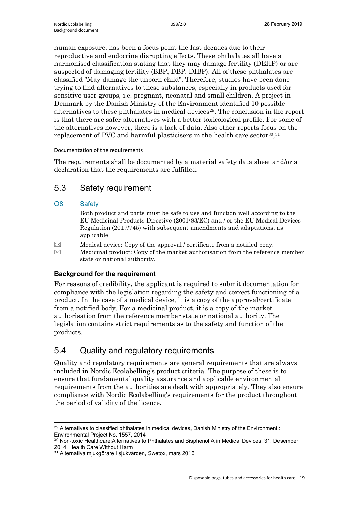human exposure, has been a focus point the last decades due to their reproductive and endocrine disrupting effects. These phthalates all have a harmonised classification stating that they may damage fertility (DEHP) or are suspected of damaging fertility (BBP, DBP, DIBP). All of these phthalates are classified "May damage the unborn child". Therefore, studies have been done trying to find alternatives to these substances, especially in products used for sensitive user groups, i.e. pregnant, neonatal and small children. A project in Denmark by the Danish Ministry of the Environment identified 10 possible alternatives to these phthalates in medical devices<sup>29</sup>. The conclusion in the report is that there are safer alternatives with a better toxicological profile. For some of the alternatives however, there is a lack of data. Also other reports focus on the replacement of PVC and harmful plasticisers in the health care sector  $30,31$  $30,31$ .

Documentation of the requirements

The requirements shall be documented by a material safety data sheet and/or a declaration that the requirements are fulfilled.

## <span id="page-18-0"></span>5.3 Safety requirement

## O8 Safety

Both product and parts must be safe to use and function well according to the EU Medicinal Products Directive (2001/83/EC) and / or the EU Medical Devices Regulation (2017/745) with subsequent amendments and adaptations, as applicable.

- $\boxtimes$  Medical device: Copy of the approval / certificate from a notified body.
- $\boxtimes$  Medicinal product: Copy of the market authorisation from the reference member state or national authority.

## **Background for the requirement**

For reasons of credibility, the applicant is required to submit documentation for compliance with the legislation regarding the safety and correct functioning of a product. In the case of a medical device, it is a copy of the approval/certificate from a notified body. For a medicinal product, it is a copy of the market authorisation from the reference member state or national authority. The legislation contains strict requirements as to the safety and function of the products.

## <span id="page-18-1"></span>5.4 Quality and regulatory requirements

Quality and regulatory requirements are general requirements that are always included in Nordic Ecolabelling's product criteria. The purpose of these is to ensure that fundamental quality assurance and applicable environmental requirements from the authorities are dealt with appropriately. They also ensure compliance with Nordic Ecolabelling's requirements for the product throughout the period of validity of the licence.

<span id="page-18-2"></span> $\overline{a}$ <sup>29</sup> Alternatives to classified phthalates in medical devices, Danish Ministry of the Environment : Environmental Project No. 1557, 2014

<span id="page-18-3"></span><sup>&</sup>lt;sup>30</sup> Non-toxic Healthcare: Alternatives to Phthalates and Bisphenol A in Medical Devices, 31. Desember 2014, Health Care Without Harm

<span id="page-18-4"></span><sup>31</sup> Alternativa mjukgörare I sjukvården, Swetox, mars 2016